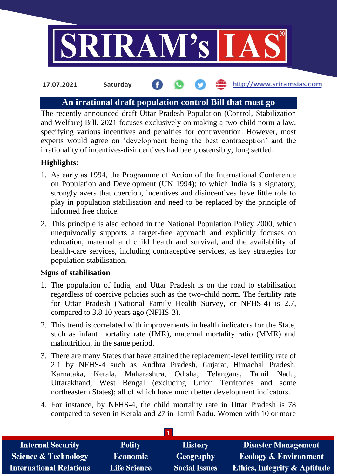

#### http://www.sriramsias.com **17.07.2021 Saturday**

# **An irrational draft population control Bill that must go**

The recently announced draft Uttar Pradesh Population (Control, Stabilization and Welfare) Bill, 2021 focuses exclusively on making a two-child norm a law, specifying various incentives and penalties for contravention. However, most experts would agree on 'development being the best contraception' and the irrationality of incentives-disincentives had been, ostensibly, long settled.

## **Highlights:**

- 1. As early as 1994, the Programme of Action of the International Conference on Population and Development (UN 1994); to which India is a signatory, strongly avers that coercion, incentives and disincentives have little role to play in population stabilisation and need to be replaced by the principle of informed free choice.
- 2. This principle is also echoed in the National Population Policy 2000, which unequivocally supports a target-free approach and explicitly focuses on education, maternal and child health and survival, and the availability of health-care services, including contraceptive services, as key strategies for population stabilisation.

### **Signs of stabilisation**

- 1. The population of India, and Uttar Pradesh is on the road to stabilisation regardless of coercive policies such as the two-child norm. The fertility rate for Uttar Pradesh (National Family Health Survey, or NFHS-4) is 2.7, compared to 3.8 10 years ago (NFHS-3).
- 2. This trend is correlated with improvements in health indicators for the State, such as infant mortality rate (IMR), maternal mortality ratio (MMR) and malnutrition, in the same period.
- 3. There are many States that have attained the replacement-level fertility rate of 2.1 by NFHS-4 such as Andhra Pradesh, Gujarat, Himachal Pradesh, Karnataka, Kerala, Maharashtra, Odisha, Telangana, Tamil Nadu, Uttarakhand, West Bengal (excluding Union Territories and some northeastern States); all of which have much better development indicators.
- 4. For instance, by NFHS-4, the child mortality rate in Uttar Pradesh is 78 compared to seven in Kerala and 27 in Tamil Nadu. Women with 10 or more

| <b>Internal Security</b>        | <b>Polity</b>       | <b>History</b>       | <b>Disaster Management</b>              |  |  |
|---------------------------------|---------------------|----------------------|-----------------------------------------|--|--|
| <b>Science &amp; Technology</b> | <b>Economic</b>     | <b>Geography</b>     | <b>Ecology &amp; Environment</b>        |  |  |
| <b>International Relations</b>  | <b>Life Science</b> | <b>Social Issues</b> | <b>Ethics, Integrity &amp; Aptitude</b> |  |  |